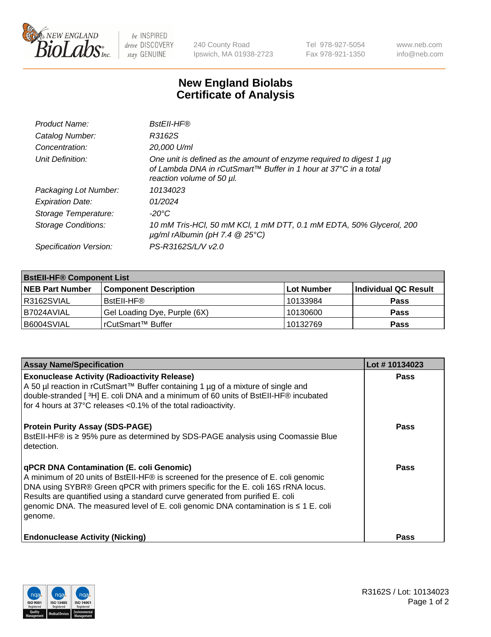

 $be$  INSPIRED drive DISCOVERY stay GENUINE

240 County Road Ipswich, MA 01938-2723 Tel 978-927-5054 Fax 978-921-1350 www.neb.com info@neb.com

## **New England Biolabs Certificate of Analysis**

| Product Name:           | <b>BstEll-HF®</b>                                                                                                                                                   |
|-------------------------|---------------------------------------------------------------------------------------------------------------------------------------------------------------------|
| Catalog Number:         | R3162S                                                                                                                                                              |
| Concentration:          | 20,000 U/ml                                                                                                                                                         |
| Unit Definition:        | One unit is defined as the amount of enzyme required to digest 1 µg<br>of Lambda DNA in rCutSmart™ Buffer in 1 hour at 37°C in a total<br>reaction volume of 50 µl. |
| Packaging Lot Number:   | 10134023                                                                                                                                                            |
| <b>Expiration Date:</b> | 01/2024                                                                                                                                                             |
| Storage Temperature:    | $-20^{\circ}$ C                                                                                                                                                     |
| Storage Conditions:     | 10 mM Tris-HCl, 50 mM KCl, 1 mM DTT, 0.1 mM EDTA, 50% Glycerol, 200<br>$\mu$ g/ml rAlbumin (pH 7.4 $\circledR$ 25°C)                                                |
| Specification Version:  | PS-R3162S/L/V v2.0                                                                                                                                                  |
|                         |                                                                                                                                                                     |

| <b>BstEll-HF® Component List</b> |                              |            |                      |  |  |
|----------------------------------|------------------------------|------------|----------------------|--|--|
| <b>NEB Part Number</b>           | <b>Component Description</b> | Lot Number | Individual QC Result |  |  |
| R3162SVIAL                       | BstEll-HF®                   | 10133984   | <b>Pass</b>          |  |  |
| I B7024AVIAL                     | Gel Loading Dye, Purple (6X) | 10130600   | <b>Pass</b>          |  |  |
| B6004SVIAL                       | 'rCutSmart™ Buffer           | 10132769   | <b>Pass</b>          |  |  |

| <b>Assay Name/Specification</b>                                                                                                                                                                                                                                                                                                                                                                               | Lot #10134023 |
|---------------------------------------------------------------------------------------------------------------------------------------------------------------------------------------------------------------------------------------------------------------------------------------------------------------------------------------------------------------------------------------------------------------|---------------|
| <b>Exonuclease Activity (Radioactivity Release)</b><br>A 50 µl reaction in rCutSmart™ Buffer containing 1 µg of a mixture of single and<br>double-stranded [ <sup>3</sup> H] E. coli DNA and a minimum of 60 units of BstEII-HF® incubated<br>for 4 hours at 37°C releases <0.1% of the total radioactivity.                                                                                                  | <b>Pass</b>   |
| <b>Protein Purity Assay (SDS-PAGE)</b><br>BstEII-HF® is ≥ 95% pure as determined by SDS-PAGE analysis using Coomassie Blue<br>l detection.                                                                                                                                                                                                                                                                    | <b>Pass</b>   |
| <b>qPCR DNA Contamination (E. coli Genomic)</b><br>A minimum of 20 units of BstEII-HF® is screened for the presence of E. coli genomic<br>DNA using SYBR® Green qPCR with primers specific for the E. coli 16S rRNA locus.<br>Results are quantified using a standard curve generated from purified E. coli<br>genomic DNA. The measured level of E. coli genomic DNA contamination is ≤ 1 E. coli<br>genome. | <b>Pass</b>   |
| <b>Endonuclease Activity (Nicking)</b>                                                                                                                                                                                                                                                                                                                                                                        | Pass          |